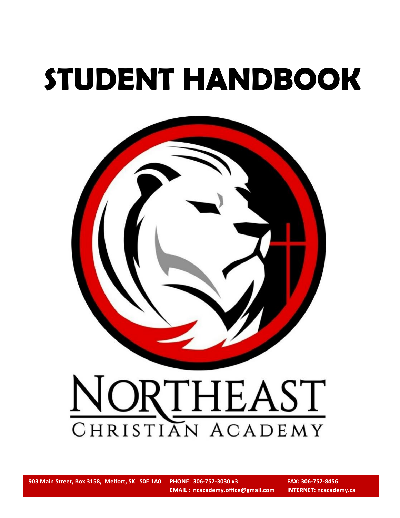# **STUDENT HANDBOOK**



# NORTHEAST

**903 Main Street, Box 3158, Melfort, SK S0E 1A0 PHONE: 306-752-3030 x3 FAX: 306-752-8456**

PHONE: 306-752-3030 x3 **EMAIL : [ncacademy.office@gmail.com](mailto:ncacademy.office@gmail.com) INTERNET: ncacademy.ca**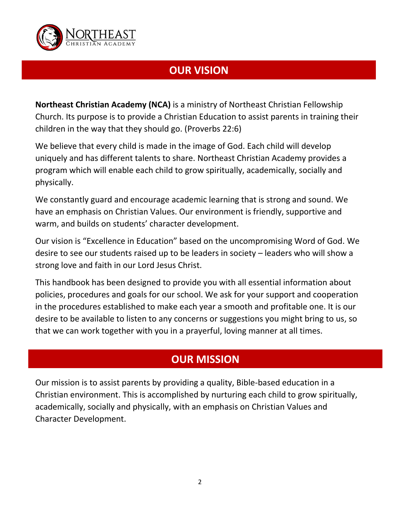

# **OUR VISION**

**Northeast Christian Academy (NCA)** is a ministry of Northeast Christian Fellowship Church. Its purpose is to provide a Christian Education to assist parents in training their children in the way that they should go. (Proverbs 22:6)

We believe that every child is made in the image of God. Each child will develop uniquely and has different talents to share. Northeast Christian Academy provides a program which will enable each child to grow spiritually, academically, socially and physically.

We constantly guard and encourage academic learning that is strong and sound. We have an emphasis on Christian Values. Our environment is friendly, supportive and warm, and builds on students' character development.

Our vision is "Excellence in Education" based on the uncompromising Word of God. We desire to see our students raised up to be leaders in society – leaders who will show a strong love and faith in our Lord Jesus Christ.

This handbook has been designed to provide you with all essential information about policies, procedures and goals for our school. We ask for your support and cooperation in the procedures established to make each year a smooth and profitable one. It is our desire to be available to listen to any concerns or suggestions you might bring to us, so that we can work together with you in a prayerful, loving manner at all times.

# **OUR MISSION**

Our mission is to assist parents by providing a quality, Bible-based education in a Christian environment. This is accomplished by nurturing each child to grow spiritually, academically, socially and physically, with an emphasis on Christian Values and Character Development.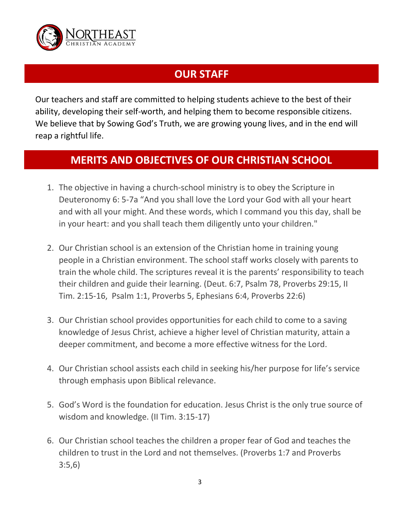

# **OUR STAFF**

Our teachers and staff are committed to helping students achieve to the best of their ability, developing their self-worth, and helping them to become responsible citizens. We believe that by Sowing God's Truth, we are growing young lives, and in the end will reap a rightful life.

# **MERITS AND OBJECTIVES OF OUR CHRISTIAN SCHOOL**

- 1. The objective in having a church-school ministry is to obey the Scripture in Deuteronomy 6: 5-7a "And you shall love the Lord your God with all your heart and with all your might. And these words, which I command you this day, shall be in your heart: and you shall teach them diligently unto your children."
- 2. Our Christian school is an extension of the Christian home in training young people in a Christian environment. The school staff works closely with parents to train the whole child. The scriptures reveal it is the parents' responsibility to teach their children and guide their learning. (Deut. 6:7, Psalm 78, Proverbs 29:15, II Tim. 2:15-16, Psalm 1:1, Proverbs 5, Ephesians 6:4, Proverbs 22:6)
- 3. Our Christian school provides opportunities for each child to come to a saving knowledge of Jesus Christ, achieve a higher level of Christian maturity, attain a deeper commitment, and become a more effective witness for the Lord.
- 4. Our Christian school assists each child in seeking his/her purpose for life's service through emphasis upon Biblical relevance.
- 5. God's Word is the foundation for education. Jesus Christ is the only true source of wisdom and knowledge. (II Tim. 3:15-17)
- 6. Our Christian school teaches the children a proper fear of God and teaches the children to trust in the Lord and not themselves. (Proverbs 1:7 and Proverbs 3:5,6)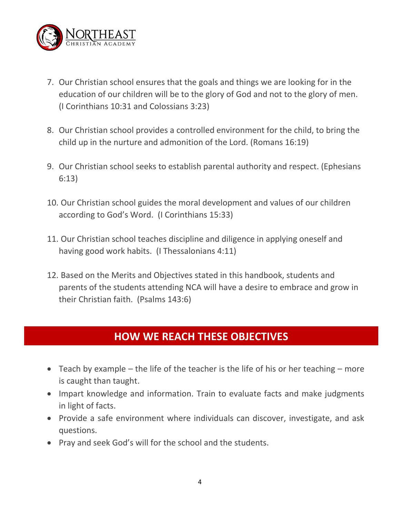

- 7. Our Christian school ensures that the goals and things we are looking for in the education of our children will be to the glory of God and not to the glory of men. (I Corinthians 10:31 and Colossians 3:23)
- 8. Our Christian school provides a controlled environment for the child, to bring the child up in the nurture and admonition of the Lord. (Romans 16:19)
- 9. Our Christian school seeks to establish parental authority and respect. (Ephesians 6:13)
- 10. Our Christian school guides the moral development and values of our children according to God's Word. (I Corinthians 15:33)
- 11. Our Christian school teaches discipline and diligence in applying oneself and having good work habits. (I Thessalonians 4:11)
- 12. Based on the Merits and Objectives stated in this handbook, students and parents of the students attending NCA will have a desire to embrace and grow in their Christian faith. (Psalms 143:6)

# **HOW WE REACH THESE OBJECTIVES**

- Teach by example the life of the teacher is the life of his or her teaching more is caught than taught.
- Impart knowledge and information. Train to evaluate facts and make judgments in light of facts.
- Provide a safe environment where individuals can discover, investigate, and ask questions.
- Pray and seek God's will for the school and the students.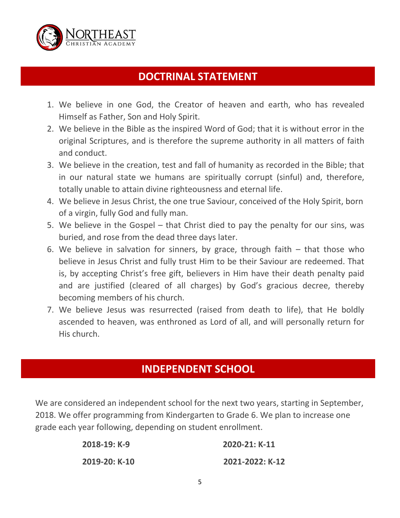

# **DOCTRINAL STATEMENT**

- 1. We believe in one God, the Creator of heaven and earth, who has revealed Himself as Father, Son and Holy Spirit.
- 2. We believe in the Bible as the inspired Word of God; that it is without error in the original Scriptures, and is therefore the supreme authority in all matters of faith and conduct.
- 3. We believe in the creation, test and fall of humanity as recorded in the Bible; that in our natural state we humans are spiritually corrupt (sinful) and, therefore, totally unable to attain divine righteousness and eternal life.
- 4. We believe in Jesus Christ, the one true Saviour, conceived of the Holy Spirit, born of a virgin, fully God and fully man.
- 5. We believe in the Gospel that Christ died to pay the penalty for our sins, was buried, and rose from the dead three days later.
- 6. We believe in salvation for sinners, by grace, through faith  $-$  that those who believe in Jesus Christ and fully trust Him to be their Saviour are redeemed. That is, by accepting Christ's free gift, believers in Him have their death penalty paid and are justified (cleared of all charges) by God's gracious decree, thereby becoming members of his church.
- 7. We believe Jesus was resurrected (raised from death to life), that He boldly ascended to heaven, was enthroned as Lord of all, and will personally return for His church.

#### **INDEPENDENT SCHOOL**

We are considered an independent school for the next two years, starting in September, 2018. We offer programming from Kindergarten to Grade 6. We plan to increase one grade each year following, depending on student enrollment.

| 2018-19: K-9  | 2020-21: K-11   |  |
|---------------|-----------------|--|
| 2019-20: K-10 | 2021-2022: K-12 |  |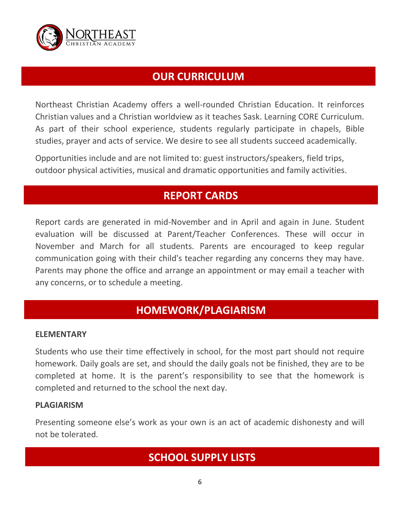

# **OUR CURRICULUM**

Northeast Christian Academy offers a well-rounded Christian Education. It reinforces Christian values and a Christian worldview as it teaches Sask. Learning CORE Curriculum. As part of their school experience, students regularly participate in chapels, Bible studies, prayer and acts of service. We desire to see all students succeed academically.

Opportunities include and are not limited to: guest instructors/speakers, field trips, outdoor physical activities, musical and dramatic opportunities and family activities.

# **REPORT CARDS**

Report cards are generated in mid-November and in April and again in June. Student evaluation will be discussed at Parent/Teacher Conferences. These will occur in November and March for all students. Parents are encouraged to keep regular communication going with their child's teacher regarding any concerns they may have. Parents may phone the office and arrange an appointment or may email a teacher with any concerns, or to schedule a meeting.

# **HOMEWORK/PLAGIARISM**

#### **ELEMENTARY**

Students who use their time effectively in school, for the most part should not require homework. Daily goals are set, and should the daily goals not be finished, they are to be completed at home. It is the parent's responsibility to see that the homework is completed and returned to the school the next day.

#### **PLAGIARISM**

Presenting someone else's work as your own is an act of academic dishonesty and will not be tolerated.

# **SCHOOL SUPPLY LISTS**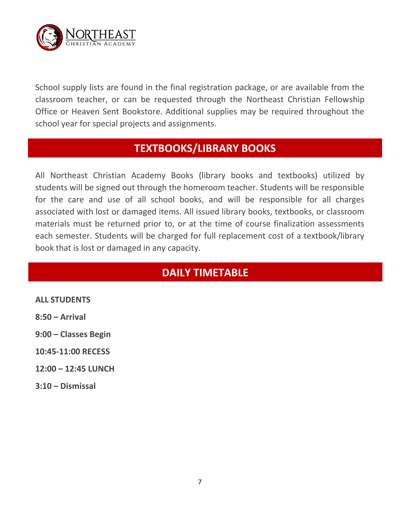

School supply lists are found in the final registration package, or are available from the classroom teacher, or can be requested through the Northeast Christian Fellowship Office or Heaven Sent Bookstore. Additional supplies may be required throughout the school year for special projects and assignments.

#### **TEXTBOOKS/LIBRARY BOOKS**

All Northeast Christian Academy Books (library books and textbooks) utilized by students will be signed out through the homeroom teacher. Students will be responsible for the care and use of all school books, and will be responsible for all charges associated with lost or damaged items. All issued library books, textbooks, or classroom materials must be returned prior to, or at the time of course finalization assessments each semester. Students will be charged for full replacement cost of a textbook/library book that is lost or damaged in any capacity.

# **DAILY TIMETABLE**

**ALL STUDENTS**

**8:50 – Arrival**

**9:00 – Classes Begin**

- **10:45-11:00 RECESS**
- **12:00 – 12:45 LUNCH**
- **3:10 – Dismissal**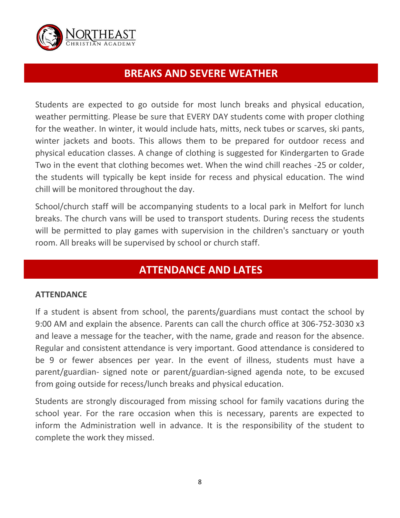

#### **BREAKS AND SEVERE WEATHER**

Students are expected to go outside for most lunch breaks and physical education, weather permitting. Please be sure that EVERY DAY students come with proper clothing for the weather. In winter, it would include hats, mitts, neck tubes or scarves, ski pants, winter jackets and boots. This allows them to be prepared for outdoor recess and physical education classes. A change of clothing is suggested for Kindergarten to Grade Two in the event that clothing becomes wet. When the wind chill reaches -25 or colder, the students will typically be kept inside for recess and physical education. The wind chill will be monitored throughout the day.

School/church staff will be accompanying students to a local park in Melfort for lunch breaks. The church vans will be used to transport students. During recess the students will be permitted to play games with supervision in the children's sanctuary or youth room. All breaks will be supervised by school or church staff.

# **ATTENDANCE AND LATES**

#### **ATTENDANCE**

If a student is absent from school, the parents/guardians must contact the school by 9:00 AM and explain the absence. Parents can call the church office at 306-752-3030 x3 and leave a message for the teacher, with the name, grade and reason for the absence. Regular and consistent attendance is very important. Good attendance is considered to be 9 or fewer absences per year. In the event of illness, students must have a parent/guardian- signed note or parent/guardian-signed agenda note, to be excused from going outside for recess/lunch breaks and physical education.

Students are strongly discouraged from missing school for family vacations during the school year. For the rare occasion when this is necessary, parents are expected to inform the Administration well in advance. It is the responsibility of the student to complete the work they missed.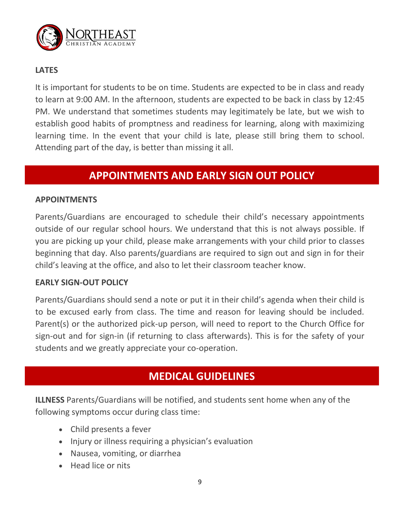

#### **LATES**

It is important for students to be on time. Students are expected to be in class and ready to learn at 9:00 AM. In the afternoon, students are expected to be back in class by 12:45 PM. We understand that sometimes students may legitimately be late, but we wish to establish good habits of promptness and readiness for learning, along with maximizing learning time. In the event that your child is late, please still bring them to school. Attending part of the day, is better than missing it all.

# **APPOINTMENTS AND EARLY SIGN OUT POLICY**

#### **APPOINTMENTS**

Parents/Guardians are encouraged to schedule their child's necessary appointments outside of our regular school hours. We understand that this is not always possible. If you are picking up your child, please make arrangements with your child prior to classes beginning that day. Also parents/guardians are required to sign out and sign in for their child's leaving at the office, and also to let their classroom teacher know.

#### **EARLY SIGN-OUT POLICY**

Parents/Guardians should send a note or put it in their child's agenda when their child is to be excused early from class. The time and reason for leaving should be included. Parent(s) or the authorized pick-up person, will need to report to the Church Office for sign-out and for sign-in (if returning to class afterwards). This is for the safety of your students and we greatly appreciate your co-operation.

#### **MEDICAL GUIDELINES**

**ILLNESS** Parents/Guardians will be notified, and students sent home when any of the following symptoms occur during class time:

- Child presents a fever
- Injury or illness requiring a physician's evaluation
- Nausea, vomiting, or diarrhea
- Head lice or nits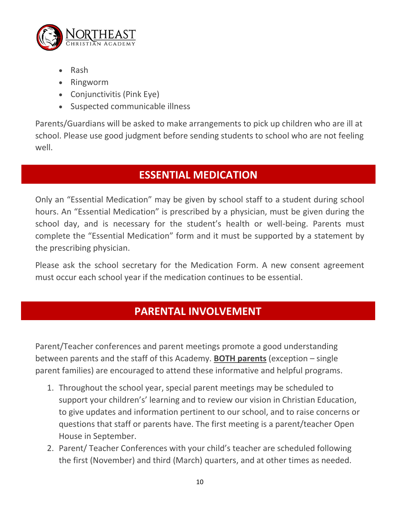

- Rash
- Ringworm
- Conjunctivitis (Pink Eye)
- Suspected communicable illness

Parents/Guardians will be asked to make arrangements to pick up children who are ill at school. Please use good judgment before sending students to school who are not feeling well.

# **ESSENTIAL MEDICATION**

Only an "Essential Medication" may be given by school staff to a student during school hours. An "Essential Medication" is prescribed by a physician, must be given during the school day, and is necessary for the student's health or well-being. Parents must complete the "Essential Medication" form and it must be supported by a statement by the prescribing physician.

Please ask the school secretary for the Medication Form. A new consent agreement must occur each school year if the medication continues to be essential.

# **PARENTAL INVOLVEMENT**

Parent/Teacher conferences and parent meetings promote a good understanding between parents and the staff of this Academy. **BOTH parents** (exception – single parent families) are encouraged to attend these informative and helpful programs.

- 1. Throughout the school year, special parent meetings may be scheduled to support your children's' learning and to review our vision in Christian Education, to give updates and information pertinent to our school, and to raise concerns or questions that staff or parents have. The first meeting is a parent/teacher Open House in September.
- 2. Parent/ Teacher Conferences with your child's teacher are scheduled following the first (November) and third (March) quarters, and at other times as needed.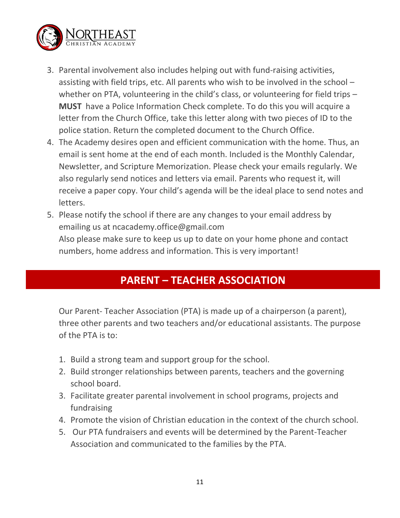

- 3. Parental involvement also includes helping out with fund-raising activities, assisting with field trips, etc. All parents who wish to be involved in the school – whether on PTA, volunteering in the child's class, or volunteering for field trips -**MUST** have a Police Information Check complete. To do this you will acquire a letter from the Church Office, take this letter along with two pieces of ID to the police station. Return the completed document to the Church Office.
- 4. The Academy desires open and efficient communication with the home. Thus, an email is sent home at the end of each month. Included is the Monthly Calendar, Newsletter, and Scripture Memorization. Please check your emails regularly. We also regularly send notices and letters via email. Parents who request it, will receive a paper copy. Your child's agenda will be the ideal place to send notes and letters.
- 5. Please notify the school if there are any changes to your email address by emailing us at ncacademy.office@gmail.com Also please make sure to keep us up to date on your home phone and contact numbers, home address and information. This is very important!

# **PARENT – TEACHER ASSOCIATION**

Our Parent- Teacher Association (PTA) is made up of a chairperson (a parent), three other parents and two teachers and/or educational assistants. The purpose of the PTA is to:

- 1. Build a strong team and support group for the school.
- 2. Build stronger relationships between parents, teachers and the governing school board.
- 3. Facilitate greater parental involvement in school programs, projects and fundraising
- 4. Promote the vision of Christian education in the context of the church school.
- 5. Our PTA fundraisers and events will be determined by the Parent-Teacher Association and communicated to the families by the PTA.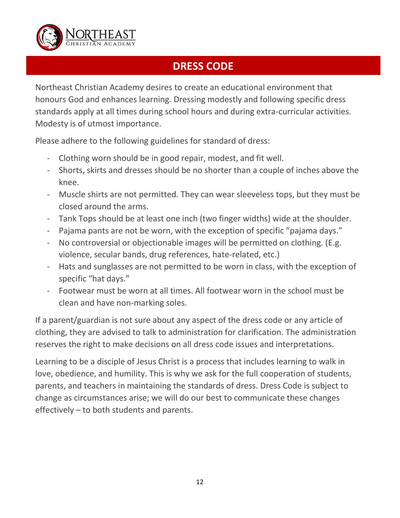

# **DRESS CODE**

Northeast Christian Academy desires to create an educational environment that honours God and enhances learning. Dressing modestly and following specific dress standards apply at all times during school hours and during extra-curricular activities. Modesty is of utmost importance.

Please adhere to the following guidelines for standard of dress:

- Clothing worn should be in good repair, modest, and fit well.
- Shorts, skirts and dresses should be no shorter than a couple of inches above the knee.
- Muscle shirts are not permitted. They can wear sleeveless tops, but they must be closed around the arms.
- Tank Tops should be at least one inch (two finger widths) wide at the shoulder.
- Pajama pants are not be worn, with the exception of specific "pajama days."
- No controversial or objectionable images will be permitted on clothing. (E.g. violence, secular bands, drug references, hate-related, etc.)
- Hats and sunglasses are not permitted to be worn in class, with the exception of specific "hat days."
- Footwear must be worn at all times. All footwear worn in the school must be clean and have non-marking soles.

If a parent/guardian is not sure about any aspect of the dress code or any article of clothing, they are advised to talk to administration for clarification. The administration reserves the right to make decisions on all dress code issues and interpretations.

Learning to be a disciple of Jesus Christ is a process that includes learning to walk in love, obedience, and humility. This is why we ask for the full cooperation of students, parents, and teachers in maintaining the standards of dress. Dress Code is subject to change as circumstances arise; we will do our best to communicate these changes effectively – to both students and parents.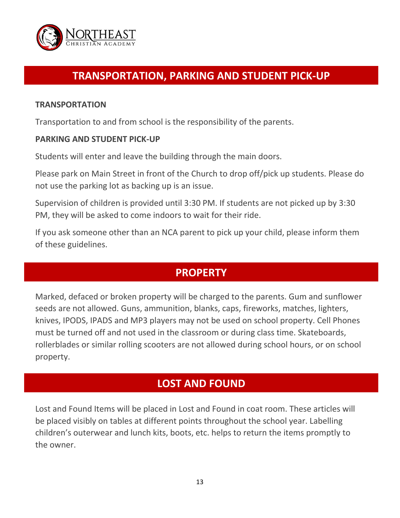

# **TRANSPORTATION, PARKING AND STUDENT PICK-UP**

#### **TRANSPORTATION**

Transportation to and from school is the responsibility of the parents.

#### **PARKING AND STUDENT PICK-UP**

Students will enter and leave the building through the main doors.

Please park on Main Street in front of the Church to drop off/pick up students. Please do not use the parking lot as backing up is an issue.

Supervision of children is provided until 3:30 PM. If students are not picked up by 3:30 PM, they will be asked to come indoors to wait for their ride.

If you ask someone other than an NCA parent to pick up your child, please inform them of these guidelines.

# **PROPERTY**

Marked, defaced or broken property will be charged to the parents. Gum and sunflower seeds are not allowed. Guns, ammunition, blanks, caps, fireworks, matches, lighters, knives, IPODS, IPADS and MP3 players may not be used on school property. Cell Phones must be turned off and not used in the classroom or during class time. Skateboards, rollerblades or similar rolling scooters are not allowed during school hours, or on school property.

#### **LOST AND FOUND**

Lost and Found Items will be placed in Lost and Found in coat room. These articles will be placed visibly on tables at different points throughout the school year. Labelling children's outerwear and lunch kits, boots, etc. helps to return the items promptly to the owner.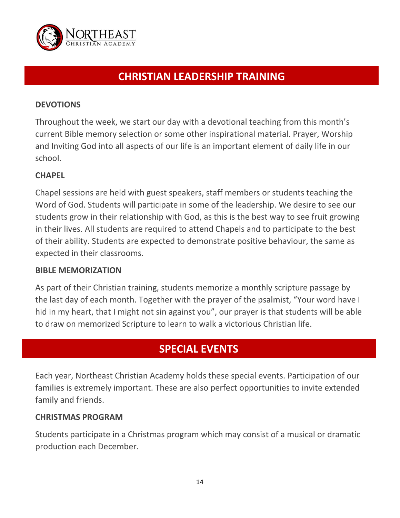

# **CHRISTIAN LEADERSHIP TRAINING**

#### **DEVOTIONS**

Throughout the week, we start our day with a devotional teaching from this month's current Bible memory selection or some other inspirational material. Prayer, Worship and Inviting God into all aspects of our life is an important element of daily life in our school.

#### **CHAPEL**

Chapel sessions are held with guest speakers, staff members or students teaching the Word of God. Students will participate in some of the leadership. We desire to see our students grow in their relationship with God, as this is the best way to see fruit growing in their lives. All students are required to attend Chapels and to participate to the best of their ability. Students are expected to demonstrate positive behaviour, the same as expected in their classrooms.

#### **BIBLE MEMORIZATION**

As part of their Christian training, students memorize a monthly scripture passage by the last day of each month. Together with the prayer of the psalmist, "Your word have I hid in my heart, that I might not sin against you", our prayer is that students will be able to draw on memorized Scripture to learn to walk a victorious Christian life.

# **SPECIAL EVENTS**

Each year, Northeast Christian Academy holds these special events. Participation of our families is extremely important. These are also perfect opportunities to invite extended family and friends.

#### **CHRISTMAS PROGRAM**

Students participate in a Christmas program which may consist of a musical or dramatic production each December.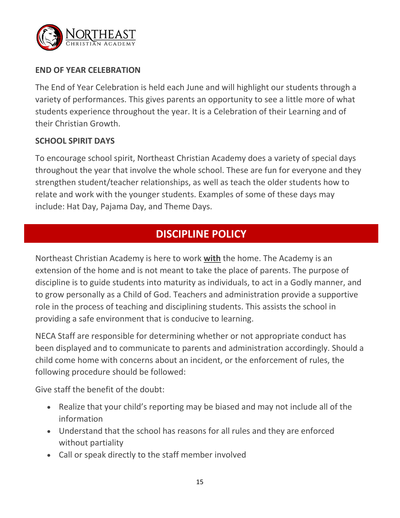

#### **END OF YEAR CELEBRATION**

The End of Year Celebration is held each June and will highlight our students through a variety of performances. This gives parents an opportunity to see a little more of what students experience throughout the year. It is a Celebration of their Learning and of their Christian Growth.

#### **SCHOOL SPIRIT DAYS**

To encourage school spirit, Northeast Christian Academy does a variety of special days throughout the year that involve the whole school. These are fun for everyone and they strengthen student/teacher relationships, as well as teach the older students how to relate and work with the younger students. Examples of some of these days may include: Hat Day, Pajama Day, and Theme Days.

#### **DISCIPLINE POLICY**

Northeast Christian Academy is here to work **with** the home. The Academy is an extension of the home and is not meant to take the place of parents. The purpose of discipline is to guide students into maturity as individuals, to act in a Godly manner, and to grow personally as a Child of God. Teachers and administration provide a supportive role in the process of teaching and disciplining students. This assists the school in providing a safe environment that is conducive to learning.

NECA Staff are responsible for determining whether or not appropriate conduct has been displayed and to communicate to parents and administration accordingly. Should a child come home with concerns about an incident, or the enforcement of rules, the following procedure should be followed:

Give staff the benefit of the doubt:

- Realize that your child's reporting may be biased and may not include all of the information
- Understand that the school has reasons for all rules and they are enforced without partiality
- Call or speak directly to the staff member involved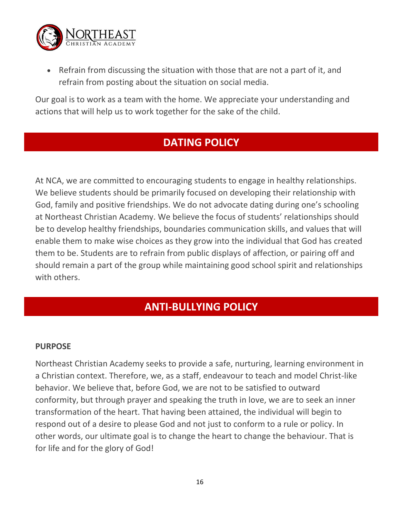

 Refrain from discussing the situation with those that are not a part of it, and refrain from posting about the situation on social media.

Our goal is to work as a team with the home. We appreciate your understanding and actions that will help us to work together for the sake of the child.

# **DATING POLICY**

At NCA, we are committed to encouraging students to engage in healthy relationships. We believe students should be primarily focused on developing their relationship with God, family and positive friendships. We do not advocate dating during one's schooling at Northeast Christian Academy. We believe the focus of students' relationships should be to develop healthy friendships, boundaries communication skills, and values that will enable them to make wise choices as they grow into the individual that God has created them to be. Students are to refrain from public displays of affection, or pairing off and should remain a part of the group while maintaining good school spirit and relationships with others.

#### **ANTI-BULLYING POLICY**

#### **PURPOSE**

Northeast Christian Academy seeks to provide a safe, nurturing, learning environment in a Christian context. Therefore, we, as a staff, endeavour to teach and model Christ-like behavior. We believe that, before God, we are not to be satisfied to outward conformity, but through prayer and speaking the truth in love, we are to seek an inner transformation of the heart. That having been attained, the individual will begin to respond out of a desire to please God and not just to conform to a rule or policy. In other words, our ultimate goal is to change the heart to change the behaviour. That is for life and for the glory of God!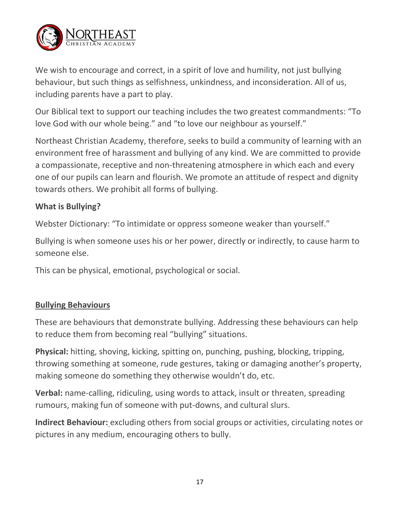

We wish to encourage and correct, in a spirit of love and humility, not just bullying behaviour, but such things as selfishness, unkindness, and inconsideration. All of us, including parents have a part to play.

Our Biblical text to support our teaching includes the two greatest commandments: "To love God with our whole being." and "to love our neighbour as yourself."

Northeast Christian Academy, therefore, seeks to build a community of learning with an environment free of harassment and bullying of any kind. We are committed to provide a compassionate, receptive and non-threatening atmosphere in which each and every one of our pupils can learn and flourish. We promote an attitude of respect and dignity towards others. We prohibit all forms of bullying.

#### **What is Bullying?**

Webster Dictionary: "To intimidate or oppress someone weaker than yourself."

Bullying is when someone uses his or her power, directly or indirectly, to cause harm to someone else.

This can be physical, emotional, psychological or social.

#### **Bullying Behaviours**

These are behaviours that demonstrate bullying. Addressing these behaviours can help to reduce them from becoming real "bullying" situations.

**Physical:** hitting, shoving, kicking, spitting on, punching, pushing, blocking, tripping, throwing something at someone, rude gestures, taking or damaging another's property, making someone do something they otherwise wouldn't do, etc.

**Verbal:** name-calling, ridiculing, using words to attack, insult or threaten, spreading rumours, making fun of someone with put-downs, and cultural slurs.

**Indirect Behaviour:** excluding others from social groups or activities, circulating notes or pictures in any medium, encouraging others to bully.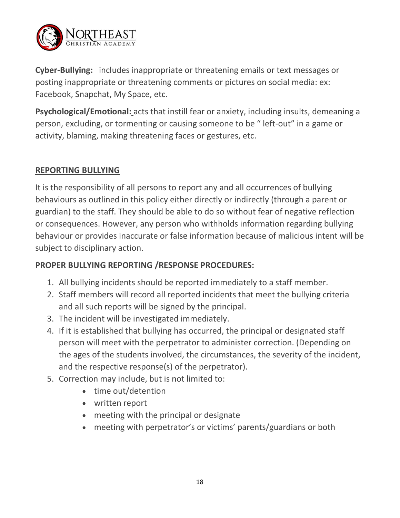

**Cyber-Bullying:** includes inappropriate or threatening emails or text messages or posting inappropriate or threatening comments or pictures on social media: ex: Facebook, Snapchat, My Space, etc.

**Psychological/Emotional:** acts that instill fear or anxiety, including insults, demeaning a person, excluding, or tormenting or causing someone to be " left-out" in a game or activity, blaming, making threatening faces or gestures, etc.

#### **REPORTING BULLYING**

It is the responsibility of all persons to report any and all occurrences of bullying behaviours as outlined in this policy either directly or indirectly (through a parent or guardian) to the staff. They should be able to do so without fear of negative reflection or consequences. However, any person who withholds information regarding bullying behaviour or provides inaccurate or false information because of malicious intent will be subject to disciplinary action.

#### **PROPER BULLYING REPORTING /RESPONSE PROCEDURES:**

- 1. All bullying incidents should be reported immediately to a staff member.
- 2. Staff members will record all reported incidents that meet the bullying criteria and all such reports will be signed by the principal.
- 3. The incident will be investigated immediately.
- 4. If it is established that bullying has occurred, the principal or designated staff person will meet with the perpetrator to administer correction. (Depending on the ages of the students involved, the circumstances, the severity of the incident, and the respective response(s) of the perpetrator).
- 5. Correction may include, but is not limited to:
	- time out/detention
	- written report
	- meeting with the principal or designate
	- meeting with perpetrator's or victims' parents/guardians or both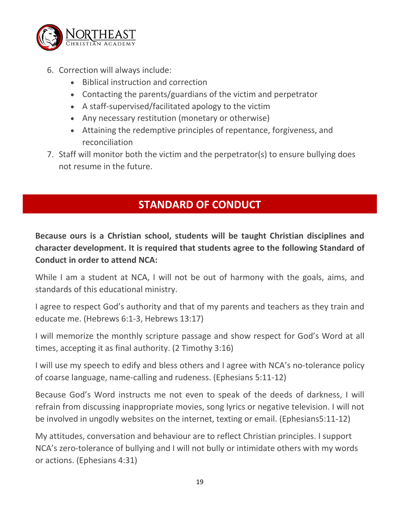

- 6. Correction will always include:
	- Biblical instruction and correction
	- Contacting the parents/guardians of the victim and perpetrator
	- A staff-supervised/facilitated apology to the victim
	- Any necessary restitution (monetary or otherwise)
	- Attaining the redemptive principles of repentance, forgiveness, and reconciliation
- 7. Staff will monitor both the victim and the perpetrator(s) to ensure bullying does not resume in the future.

# **STANDARD OF CONDUCT**

**Because ours is a Christian school, students will be taught Christian disciplines and character development. It is required that students agree to the following Standard of Conduct in order to attend NCA:** 

While I am a student at NCA, I will not be out of harmony with the goals, aims, and standards of this educational ministry.

I agree to respect God's authority and that of my parents and teachers as they train and educate me. (Hebrews 6:1-3, Hebrews 13:17)

I will memorize the monthly scripture passage and show respect for God's Word at all times, accepting it as final authority. (2 Timothy 3:16)

I will use my speech to edify and bless others and I agree with NCA's no-tolerance policy of coarse language, name-calling and rudeness. (Ephesians 5:11-12)

Because God's Word instructs me not even to speak of the deeds of darkness, I will refrain from discussing inappropriate movies, song lyrics or negative television. I will not be involved in ungodly websites on the internet, texting or email. (Ephesians5:11-12)

My attitudes, conversation and behaviour are to reflect Christian principles. I support NCA's zero-tolerance of bullying and I will not bully or intimidate others with my words or actions. (Ephesians 4:31)